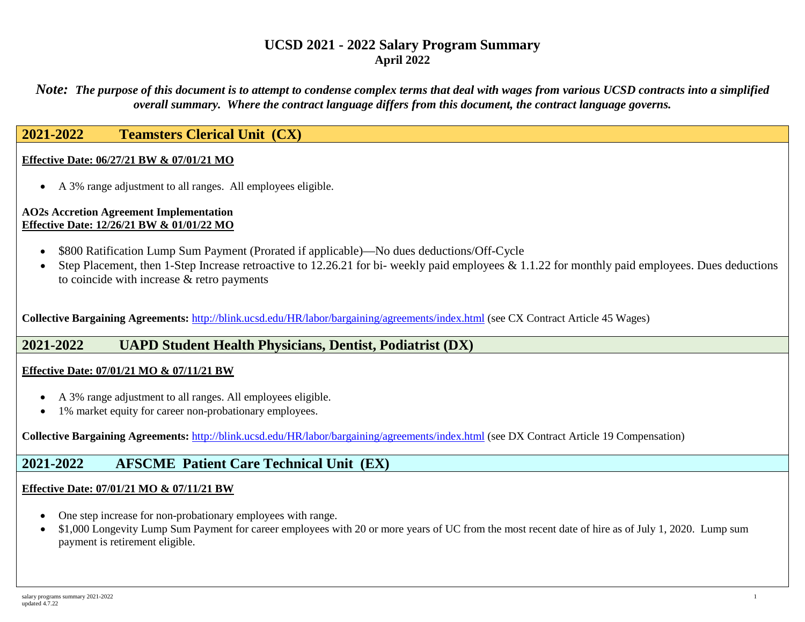*Note: The purpose of this document is to attempt to condense complex terms that deal with wages from various UCSD contracts into a simplified overall summary. Where the contract language differs from this document, the contract language governs.*

# **2021-2022 Teamsters Clerical Unit (CX)**

## **Effective Date: 06/27/21 BW & 07/01/21 MO**

• A 3% range adjustment to all ranges. All employees eligible.

#### **AO2s Accretion Agreement Implementation Effective Date: 12/26/21 BW & 01/01/22 MO**

- \$800 Ratification Lump Sum Payment (Prorated if applicable)—No dues deductions/Off-Cycle
- Step Placement, then 1-Step Increase retroactive to 12.26.21 for bi- weekly paid employees & 1.1.22 for monthly paid employees. Dues deductions to coincide with increase & retro payments

**Collective Bargaining Agreements:** <http://blink.ucsd.edu/HR/labor/bargaining/agreements/index.html> (see CX Contract Article 45 Wages)

# **2021-2022 UAPD Student Health Physicians, Dentist, Podiatrist (DX)**

## **Effective Date: 07/01/21 MO & 07/11/21 BW**

- A 3% range adjustment to all ranges. All employees eligible.
- 1% market equity for career non-probationary employees.

**Collective Bargaining Agreements:** <http://blink.ucsd.edu/HR/labor/bargaining/agreements/index.html> (see DX Contract Article 19 Compensation)

# **2021-2022 AFSCME Patient Care Technical Unit (EX)**

## **Effective Date: 07/01/21 MO & 07/11/21 BW**

- One step increase for non-probationary employees with range.
- \$1,000 Longevity Lump Sum Payment for career employees with 20 or more years of UC from the most recent date of hire as of July 1, 2020. Lump sum payment is retirement eligible.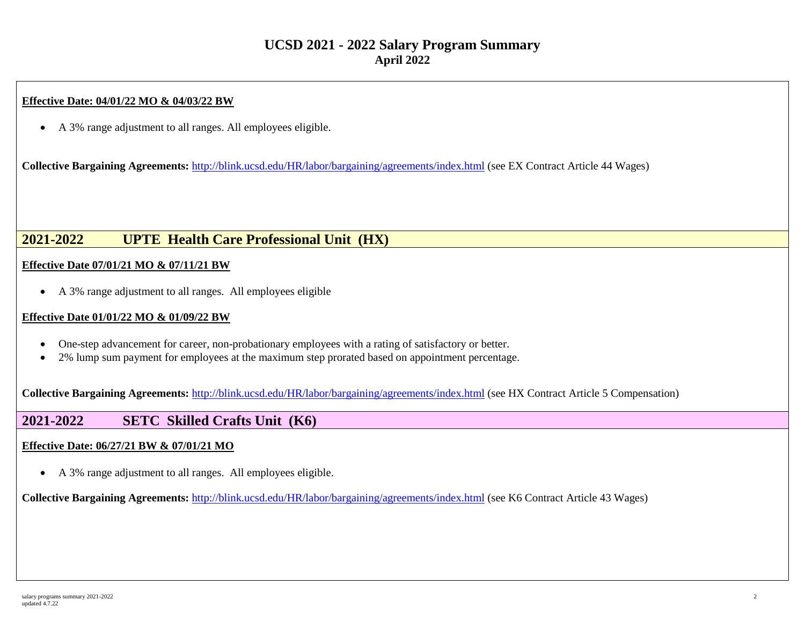## **Effective Date: 04/01/22 MO & 04/03/22 BW**

• A 3% range adjustment to all ranges. All employees eligible.

**Collective Bargaining Agreements:** <http://blink.ucsd.edu/HR/labor/bargaining/agreements/index.html> (see EX Contract Article 44 Wages)

# **2021-2022 UPTE Health Care Professional Unit (HX)**

## **Effective Date 07/01/21 MO & 07/11/21 BW**

• A 3% range adjustment to all ranges. All employees eligible

## **Effective Date 01/01/22 MO & 01/09/22 BW**

- One-step advancement for career, non-probationary employees with a rating of satisfactory or better.
- 2% lump sum payment for employees at the maximum step prorated based on appointment percentage.

**Collective Bargaining Agreements:** <http://blink.ucsd.edu/HR/labor/bargaining/agreements/index.html> (see HX Contract Article 5 Compensation)

# **2021-2022 SETC Skilled Crafts Unit (K6)**

## **Effective Date: 06/27/21 BW & 07/01/21 MO**

• A 3% range adjustment to all ranges. All employees eligible.

**Collective Bargaining Agreements:** <http://blink.ucsd.edu/HR/labor/bargaining/agreements/index.html> (see K6 Contract Article 43 Wages)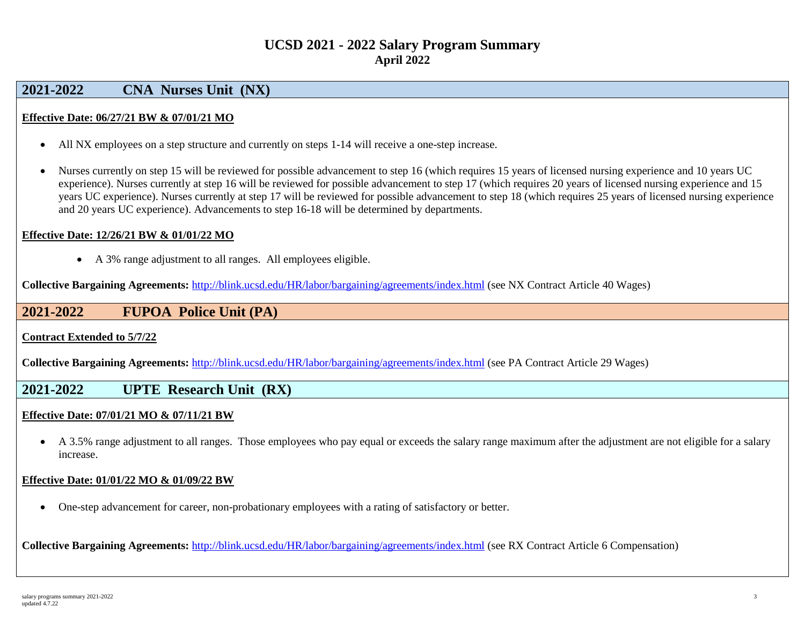# **2021-2022 CNA Nurses Unit (NX)**

## **Effective Date: 06/27/21 BW & 07/01/21 MO**

- All NX employees on a step structure and currently on steps 1-14 will receive a one-step increase.
- Nurses currently on step 15 will be reviewed for possible advancement to step 16 (which requires 15 years of licensed nursing experience and 10 years UC experience). Nurses currently at step 16 will be reviewed for possible advancement to step 17 (which requires 20 years of licensed nursing experience and 15 years UC experience). Nurses currently at step 17 will be reviewed for possible advancement to step 18 (which requires 25 years of licensed nursing experience and 20 years UC experience). Advancements to step 16-18 will be determined by departments.

## **Effective Date: 12/26/21 BW & 01/01/22 MO**

• A 3% range adjustment to all ranges. All employees eligible.

**Collective Bargaining Agreements:** <http://blink.ucsd.edu/HR/labor/bargaining/agreements/index.html> (see NX Contract Article 40 Wages)

# **2021-2022 FUPOA Police Unit (PA)**

**Contract Extended to 5/7/22**

**Collective Bargaining Agreements:** <http://blink.ucsd.edu/HR/labor/bargaining/agreements/index.html> (see PA Contract Article 29 Wages)

# **2021-2022 UPTE Research Unit (RX)**

## **Effective Date: 07/01/21 MO & 07/11/21 BW**

• A 3.5% range adjustment to all ranges. Those employees who pay equal or exceeds the salary range maximum after the adjustment are not eligible for a salary increase.

## **Effective Date: 01/01/22 MO & 01/09/22 BW**

• One-step advancement for career, non-probationary employees with a rating of satisfactory or better.

**Collective Bargaining Agreements:** <http://blink.ucsd.edu/HR/labor/bargaining/agreements/index.html> (see RX Contract Article 6 Compensation)